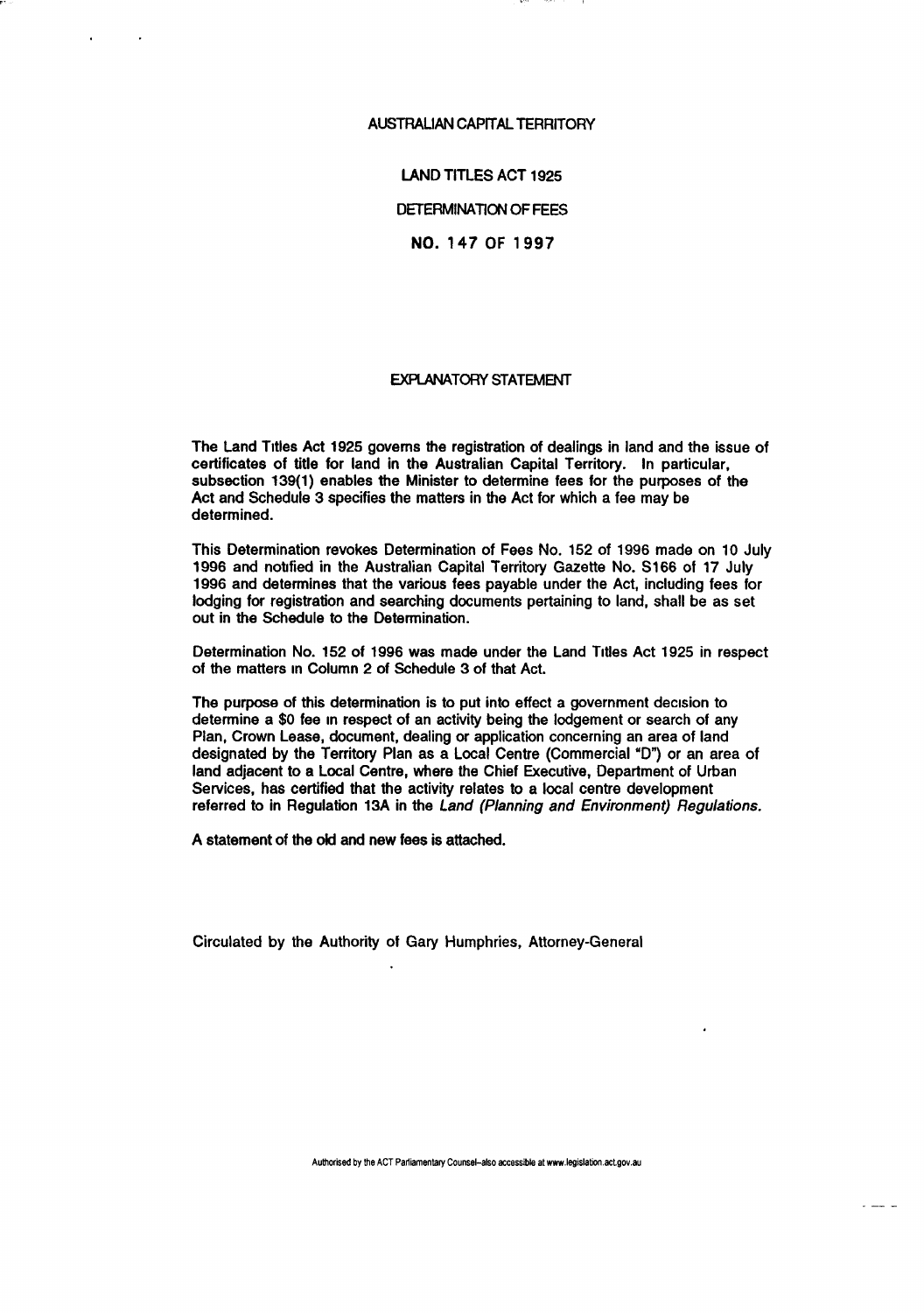## AUSTRALIAN CAPITAL TERRITORY

LAND TITLES ACT 1925

DETERMINATION OF FEES

NO. 147 OF 1997

## EXPLANATORY STATEMENT

The Land Titles Act 1925 governs the registration of dealings in land and the issue of certificates of title for land in the Australian Capital Territory. In particular, subsection 139(1) enables the Minister to determine fees for the purposes of the Act and Schedule 3 specifies the matters in the Act for which a fee may be determined.

This Determination revokes Determination of Fees No. 152 of 1996 made on 10 July 1996 and notified in the Australian Capital Territory Gazette No. S166 of 17 July 1996 and determines that the various fees payable under the Act, including fees for lodging for registration and searching documents pertaining to land, shall be as set out in the Schedule to the Determination.

Determination No. 152 of 1996 was made under the Land Titles Act 1925 in respect of the matters in Column 2 of Schedule 3 of that Act.

The purpose of this determination is to put into effect a government decision to determine a \$0 fee in respect of an activity being the lodgement or search of any Plan, Crown Lease, document, dealing or application concerning an area of land designated by the Territory Plan as a Local Centre (Commercial "D") or an area of land adjacent to a Local Centre, where the Chief Executive, Department of Urban Services, has certified that the activity relates to a local centre development referred to in Regulation 13A in the Land (Planning and Environment) Regulations.

A statement of the old and new fees is attached.

Circulated by the Authority of Gary Humphries, Attorney-General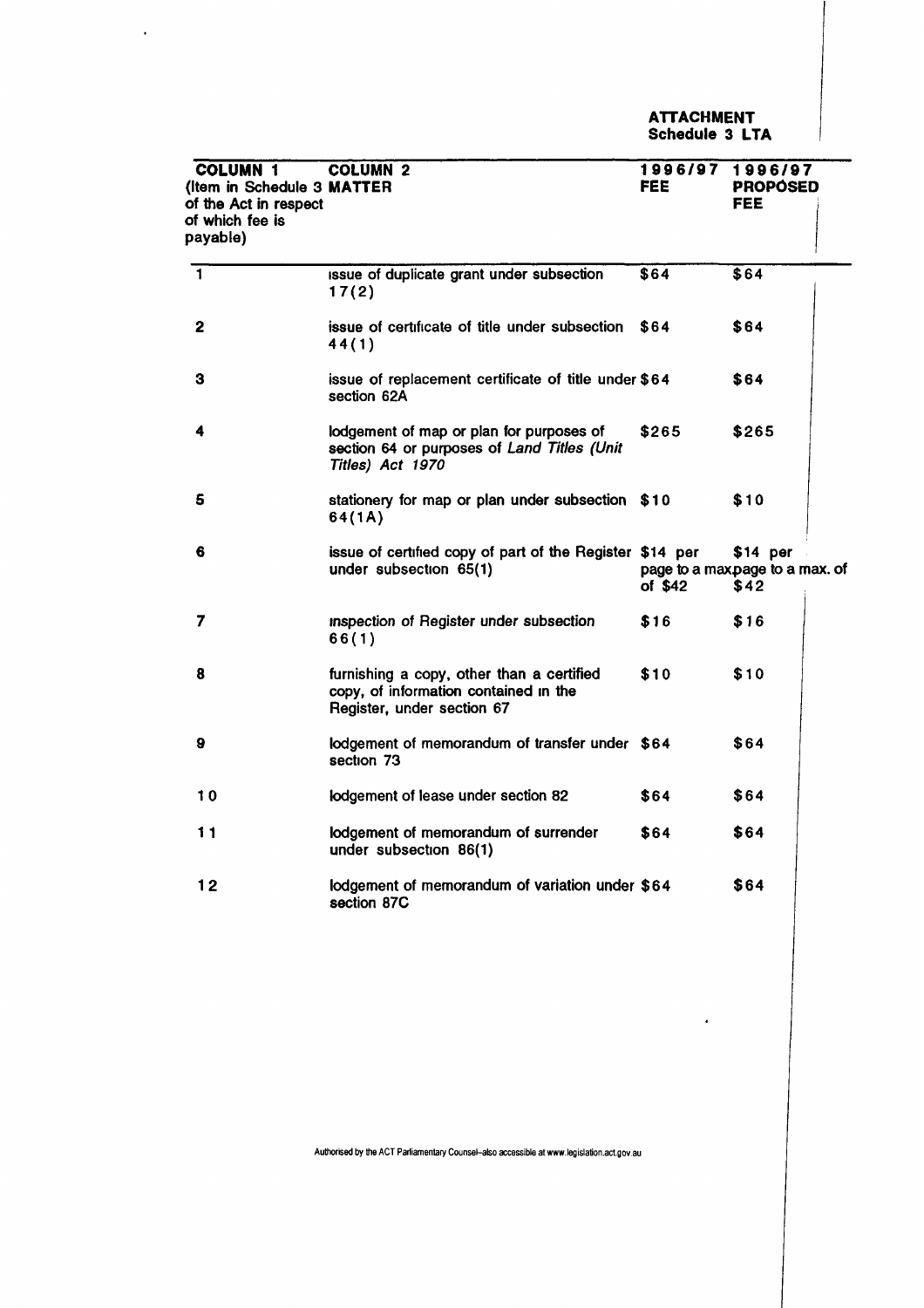**ATTACHMENT Schedule 3 LTA** 

 $\hat{\textbf{z}}$ 

| <b>COLUMN 1</b><br>(Item in Schedule 3 MATTER<br>of the Act in respect<br>of which fee is<br>payable) | <b>COLUMN 2</b>                                                                                                  | 1996/97 1996/97<br><b>FEE</b> | <b>PROPOSED</b><br>FEE                              |
|-------------------------------------------------------------------------------------------------------|------------------------------------------------------------------------------------------------------------------|-------------------------------|-----------------------------------------------------|
| $\overline{\mathbf{1}}$                                                                               | issue of duplicate grant under subsection<br>17(2)                                                               | \$64                          | $\overline{$}64$                                    |
| $\mathbf{2}$                                                                                          | issue of certificate of title under subsection<br>44(1)                                                          | \$64                          | \$64                                                |
| з                                                                                                     | issue of replacement certificate of title under \$64<br>section 62A                                              |                               | \$64                                                |
| 4                                                                                                     | lodgement of map or plan for purposes of<br>section 64 or purposes of Land Titles (Unit<br>Titles) Act 1970      | \$265                         | \$265                                               |
| 5                                                                                                     | stationery for map or plan under subsection \$10<br>64(1A)                                                       |                               | \$10                                                |
| 6                                                                                                     | issue of certified copy of part of the Register \$14 per<br>under subsection 65(1)                               | of $$42$                      | $$14$ per<br>page to a maxpage to a max. of<br>\$42 |
| 7                                                                                                     | inspection of Register under subsection<br>66(1)                                                                 | \$16                          | \$16                                                |
| 8                                                                                                     | furnishing a copy, other than a certified<br>copy, of information contained in the<br>Register, under section 67 | \$10                          | \$10                                                |
| 9                                                                                                     | lodgement of memorandum of transfer under \$64<br>section 73                                                     |                               | \$64                                                |
| 10                                                                                                    | lodgement of lease under section 82                                                                              | \$64                          | \$64                                                |
| 11                                                                                                    | lodgement of memorandum of surrender<br>under subsection 86(1)                                                   | \$64                          | \$64                                                |
| 12                                                                                                    | lodgement of memorandum of variation under \$64<br>section 87C                                                   |                               | \$64                                                |

 $\sim$   $\sim$ 

**Authorised by the ACT Parliamentary Counsel-also accessible at www.legislation.act.gov.au**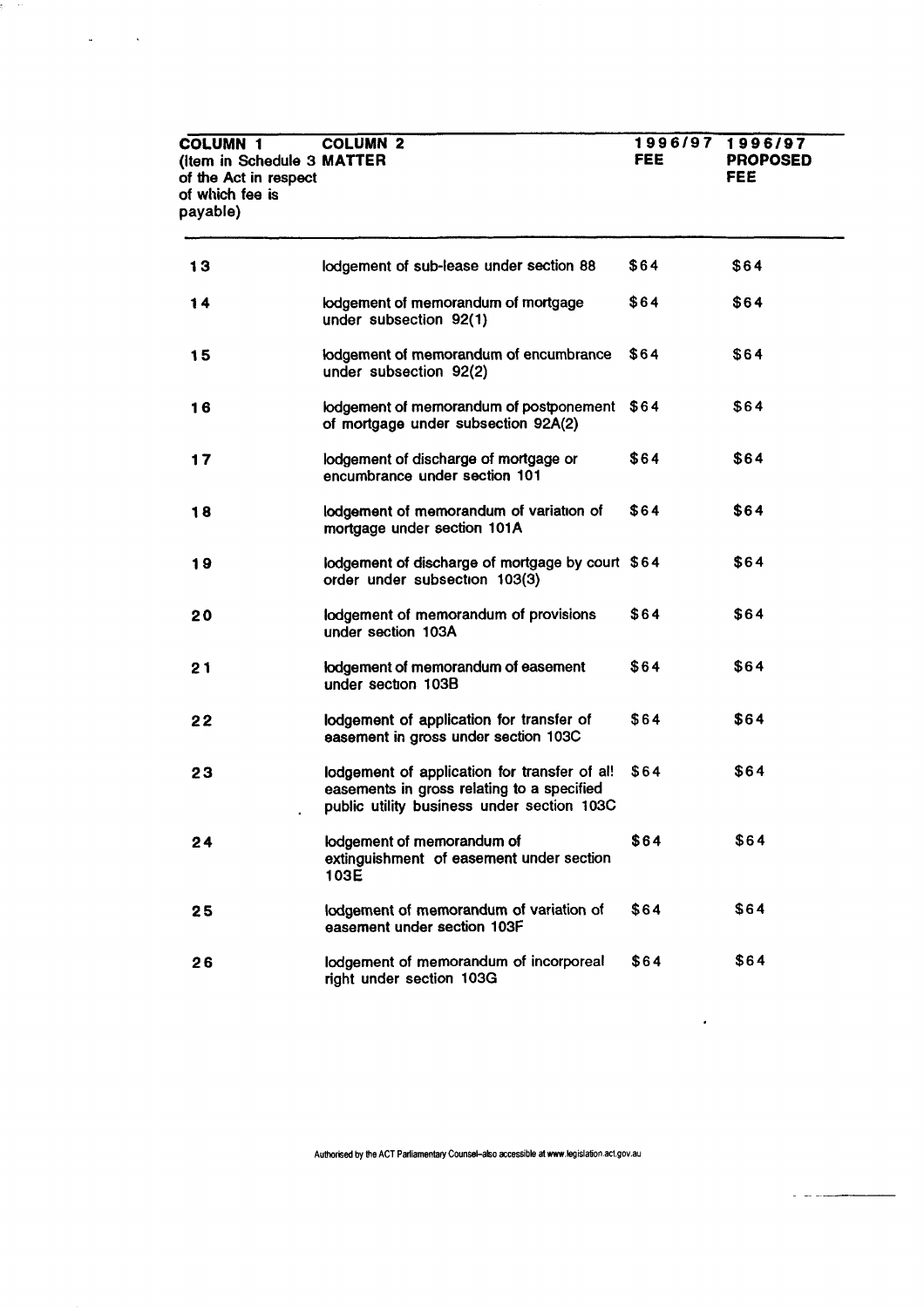| <b>COLUMN 1</b><br>(Item in Schedule 3 MATTER<br>of the Act in respect<br>of which fee is<br>payable) | <b>COLUMN 2</b>                                                                                                                          | <b>FEE</b> | 1996/97 1996/97<br><b>PROPOSED</b><br>FEE. |
|-------------------------------------------------------------------------------------------------------|------------------------------------------------------------------------------------------------------------------------------------------|------------|--------------------------------------------|
| 13                                                                                                    | lodgement of sub-lease under section 88                                                                                                  | \$64       | \$64                                       |
| 14                                                                                                    | lodgement of memorandum of mortgage<br>under subsection 92(1)                                                                            | \$64       | \$64                                       |
| 15                                                                                                    | lodgement of memorandum of encumbrance<br>under subsection 92(2)                                                                         | \$64       | \$64                                       |
| 16                                                                                                    | lodgement of memorandum of postponement \$64<br>of mortgage under subsection 92A(2)                                                      |            | \$64                                       |
| 17                                                                                                    | lodgement of discharge of mortgage or<br>encumbrance under section 101                                                                   | \$64       | \$64                                       |
| 18                                                                                                    | lodgement of memorandum of variation of<br>mortgage under section 101A                                                                   | \$64       | \$64                                       |
| 19                                                                                                    | lodgement of discharge of mortgage by court \$64<br>order under subsection 103(3)                                                        |            | \$64                                       |
| 20                                                                                                    | lodgement of memorandum of provisions<br>under section 103A                                                                              | \$64       | \$64                                       |
| 21                                                                                                    | lodgement of memorandum of easement<br>under section 103B                                                                                | \$64       | \$64                                       |
| 22                                                                                                    | lodgement of application for transfer of<br>easement in gross under section 103C                                                         | \$64       | \$64                                       |
| 23                                                                                                    | lodgement of application for transfer of al!<br>easements in gross relating to a specified<br>public utility business under section 103C | \$64       | \$64                                       |
| 24                                                                                                    | lodgement of memorandum of<br>extinguishment of easement under section<br>103E                                                           | \$64       | \$64                                       |
| 25                                                                                                    | lodgement of memorandum of variation of<br>easement under section 103F                                                                   | \$64       | \$64                                       |
| 26                                                                                                    | lodgement of memorandum of incorporeal<br>right under section 103G                                                                       | \$64       | \$64                                       |

şi m

 $\omega_{\rm{max}} = 1$ 

**Authorised by the ACT Parliamentary Counsel-also accessible at www.legislation.act.gov.au** 

 $\langle \bullet \rangle$ 

 $\overline{\phantom{0}}$